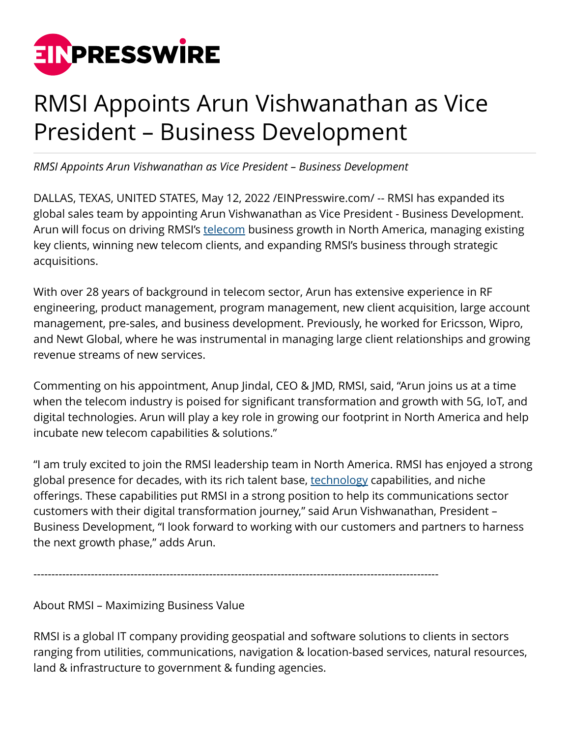

## RMSI Appoints Arun Vishwanathan as Vice President – Business Development

*RMSI Appoints Arun Vishwanathan as Vice President – Business Development*

DALLAS, TEXAS, UNITED STATES, May 12, 2022 /[EINPresswire.com/](http://www.einpresswire.com) -- RMSI has expanded its global sales team by appointing Arun Vishwanathan as Vice President - Business Development. Arun will focus on driving RMSI's [telecom](https://www.rmsi.com/telecom/) business growth in North America, managing existing key clients, winning new telecom clients, and expanding RMSI's business through strategic acquisitions.

With over 28 years of background in telecom sector, Arun has extensive experience in RF engineering, product management, program management, new client acquisition, large account management, pre-sales, and business development. Previously, he worked for Ericsson, Wipro, and Newt Global, where he was instrumental in managing large client relationships and growing revenue streams of new services.

Commenting on his appointment, Anup Jindal, CEO & JMD, RMSI, said, "Arun joins us at a time when the telecom industry is poised for significant transformation and growth with 5G, IoT, and digital technologies. Arun will play a key role in growing our footprint in North America and help incubate new telecom capabilities & solutions."

"I am truly excited to join the RMSI leadership team in North America. RMSI has enjoyed a strong global presence for decades, with its rich talent base, [technology](https://www.rmsi.com/telecom/) capabilities, and niche offerings. These capabilities put RMSI in a strong position to help its communications sector customers with their digital transformation journey," said Arun Vishwanathan, President – Business Development, "I look forward to working with our customers and partners to harness the next growth phase," adds Arun.

-----------------------------------------------------------------------------------------------------------------

About RMSI – Maximizing Business Value

RMSI is a global IT company providing geospatial and software solutions to clients in sectors ranging from utilities, communications, navigation & location-based services, natural resources, land & infrastructure to government & funding agencies.